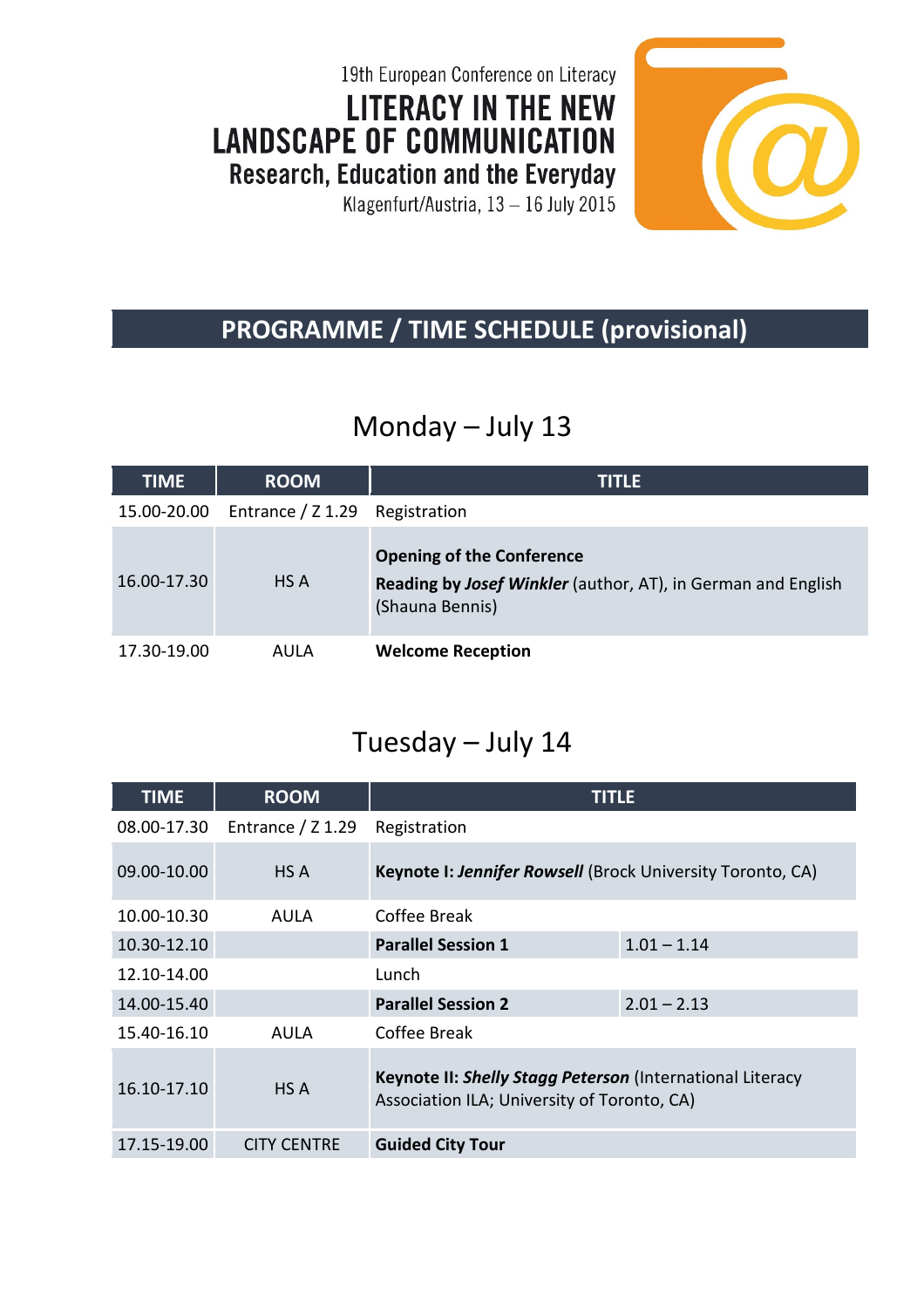19th European Conference on Literacy **LITERACY IN THE NEW LANDSCAPE OF COMMUNICATION** Research, Education and the Everyday

Klagenfurt/Austria, 13 - 16 July 2015



#### **PROGRAMME / TIME SCHEDULE (provisional)**

### Monday – July 13

| <b>TIME</b> | <b>ROOM</b>                    | <b>TITLE</b>                                                                                                               |
|-------------|--------------------------------|----------------------------------------------------------------------------------------------------------------------------|
| 15.00-20.00 | Entrance / Z 1.29 Registration |                                                                                                                            |
| 16.00-17.30 | HS A                           | <b>Opening of the Conference</b><br><b>Reading by Josef Winkler</b> (author, AT), in German and English<br>(Shauna Bennis) |
| 17.30-19.00 | AULA                           | <b>Welcome Reception</b>                                                                                                   |

#### Tuesday – July 14

| <b>TIME</b> | <b>ROOM</b>         | <b>TITLE</b>                                                                                             |               |
|-------------|---------------------|----------------------------------------------------------------------------------------------------------|---------------|
| 08.00-17.30 | Entrance $/$ Z 1.29 | Registration                                                                                             |               |
| 09.00-10.00 | HS A                | <b>Keynote I: Jennifer Rowsell (Brock University Toronto, CA)</b>                                        |               |
| 10.00-10.30 | AULA                | Coffee Break                                                                                             |               |
| 10.30-12.10 |                     | <b>Parallel Session 1</b>                                                                                | $1.01 - 1.14$ |
| 12.10-14.00 |                     | Lunch                                                                                                    |               |
| 14.00-15.40 |                     | <b>Parallel Session 2</b>                                                                                | $2.01 - 2.13$ |
| 15.40-16.10 | AULA                | Coffee Break                                                                                             |               |
| 16.10-17.10 | HS A                | Keynote II: Shelly Stagg Peterson (International Literacy<br>Association ILA; University of Toronto, CA) |               |
| 17.15-19.00 | <b>CITY CENTRE</b>  | <b>Guided City Tour</b>                                                                                  |               |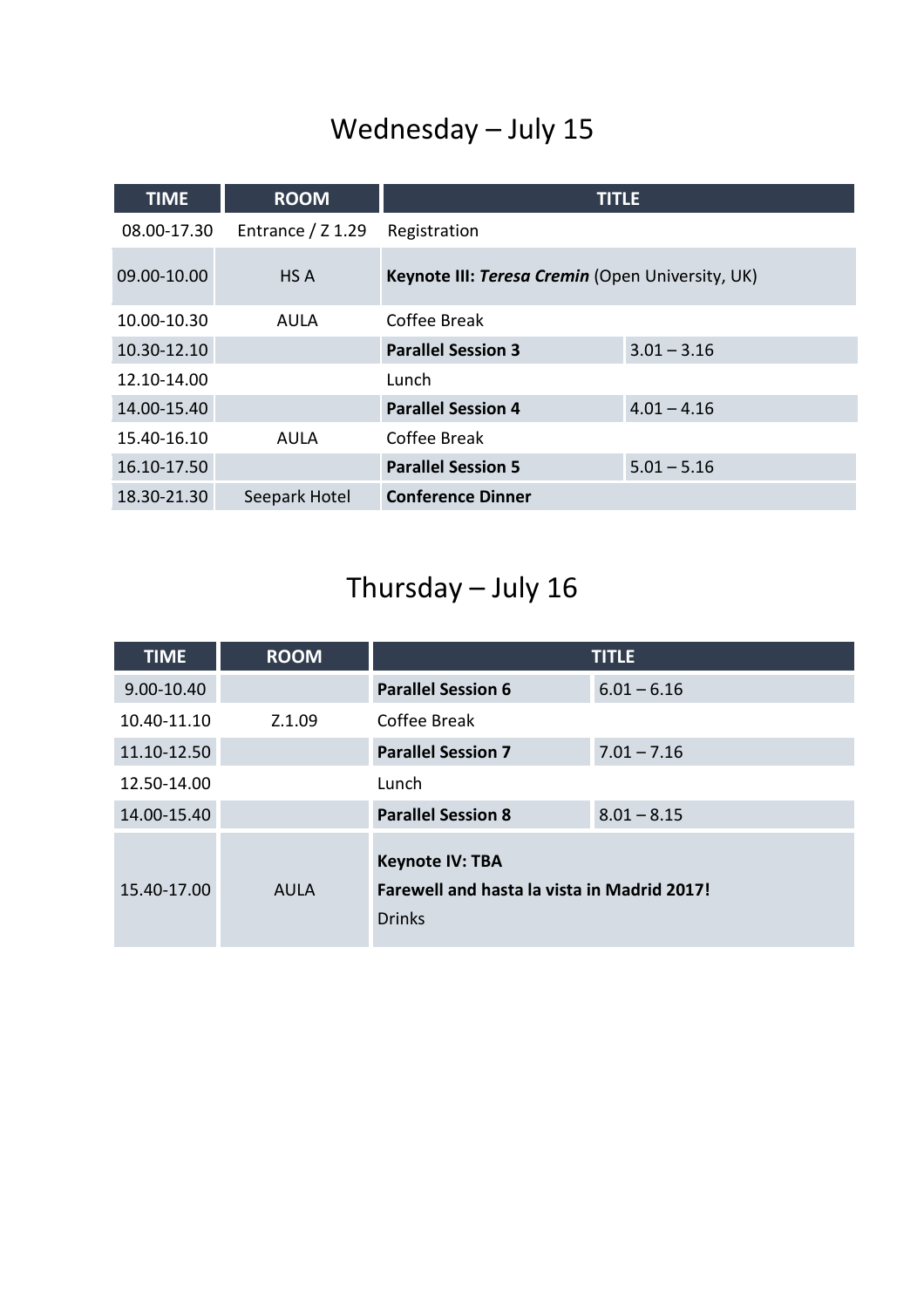## Wednesday – July 15

| <b>TIME</b> | <b>ROOM</b>         | <b>TITLE</b>                                     |               |
|-------------|---------------------|--------------------------------------------------|---------------|
| 08.00-17.30 | Entrance $/$ Z 1.29 | Registration                                     |               |
| 09.00-10.00 | HS A                | Keynote III: Teresa Cremin (Open University, UK) |               |
| 10.00-10.30 | AULA                | Coffee Break                                     |               |
| 10.30-12.10 |                     | <b>Parallel Session 3</b>                        | $3.01 - 3.16$ |
| 12.10-14.00 |                     | Lunch                                            |               |
| 14.00-15.40 |                     | <b>Parallel Session 4</b>                        | $4.01 - 4.16$ |
| 15.40-16.10 | <b>AULA</b>         | Coffee Break                                     |               |
| 16.10-17.50 |                     | <b>Parallel Session 5</b>                        | $5.01 - 5.16$ |
| 18.30-21.30 | Seepark Hotel       | <b>Conference Dinner</b>                         |               |

# Thursday – July 16

| <b>TIME</b> | <b>ROOM</b> |                                                                                        | <b>TITLE</b>  |
|-------------|-------------|----------------------------------------------------------------------------------------|---------------|
| 9.00-10.40  |             | <b>Parallel Session 6</b>                                                              | $6.01 - 6.16$ |
| 10.40-11.10 | Z.1.09      | Coffee Break                                                                           |               |
| 11.10-12.50 |             | <b>Parallel Session 7</b>                                                              | $7.01 - 7.16$ |
| 12.50-14.00 |             | Lunch                                                                                  |               |
| 14.00-15.40 |             | <b>Parallel Session 8</b>                                                              | $8.01 - 8.15$ |
| 15.40-17.00 | <b>AULA</b> | <b>Keynote IV: TBA</b><br>Farewell and hasta la vista in Madrid 2017!<br><b>Drinks</b> |               |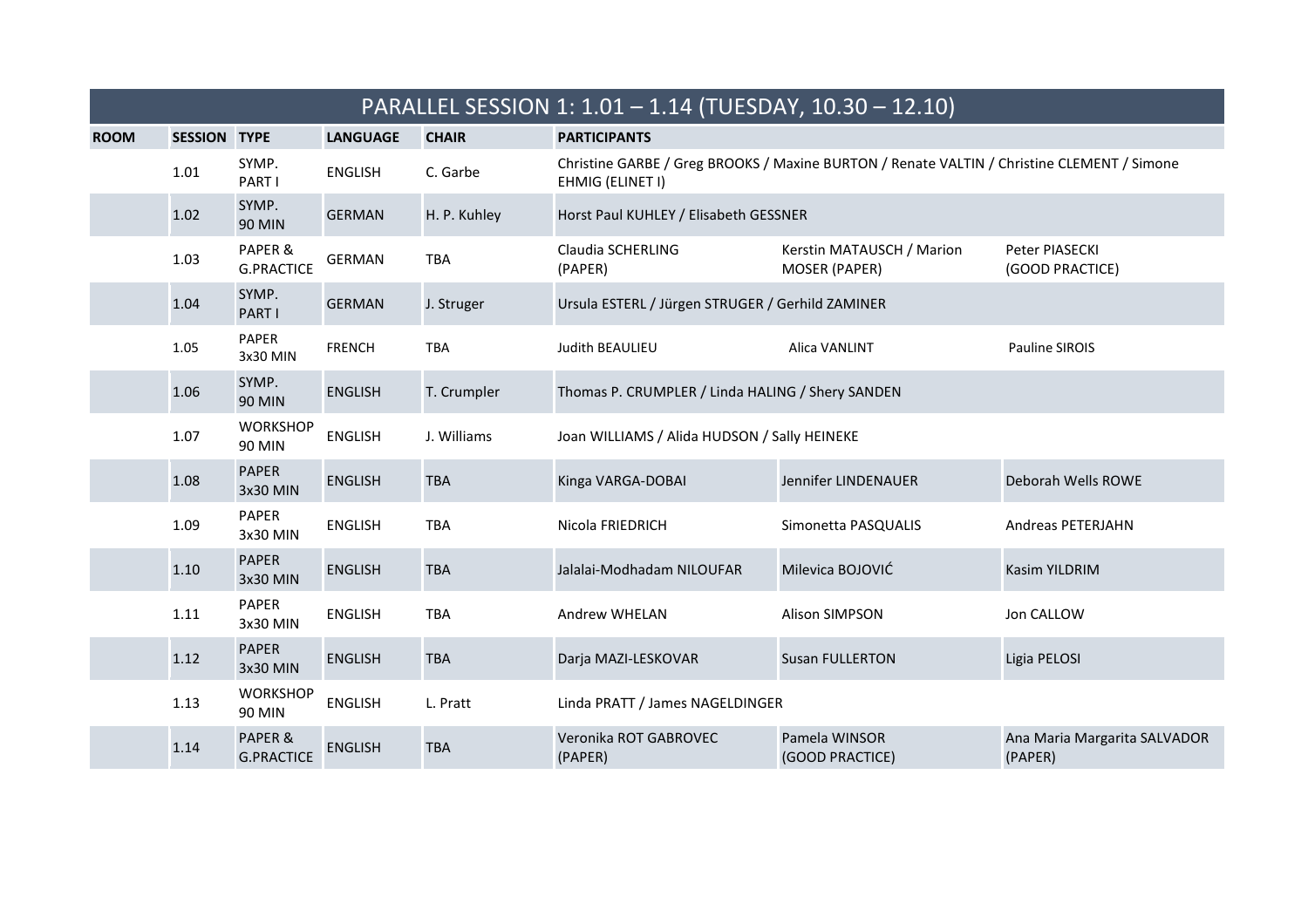|             | PARALLEL SESSION 1: 1.01 - 1.14 (TUESDAY, 10.30 - 12.10) |                              |                 |              |                                                  |                                                                                            |                                         |  |  |
|-------------|----------------------------------------------------------|------------------------------|-----------------|--------------|--------------------------------------------------|--------------------------------------------------------------------------------------------|-----------------------------------------|--|--|
| <b>ROOM</b> | <b>SESSION TYPE</b>                                      |                              | <b>LANGUAGE</b> | <b>CHAIR</b> | <b>PARTICIPANTS</b>                              |                                                                                            |                                         |  |  |
|             | 1.01                                                     | SYMP.<br>PART I              | <b>ENGLISH</b>  | C. Garbe     | EHMIG (ELINET I)                                 | Christine GARBE / Greg BROOKS / Maxine BURTON / Renate VALTIN / Christine CLEMENT / Simone |                                         |  |  |
|             | 1.02                                                     | SYMP.<br><b>90 MIN</b>       | <b>GERMAN</b>   | H. P. Kuhley | Horst Paul KUHLEY / Elisabeth GESSNER            |                                                                                            |                                         |  |  |
|             | 1.03                                                     | PAPER &<br><b>G.PRACTICE</b> | <b>GERMAN</b>   | <b>TBA</b>   | Claudia SCHERLING<br>(PAPER)                     | Kerstin MATAUSCH / Marion<br><b>MOSER (PAPER)</b>                                          | Peter PIASECKI<br>(GOOD PRACTICE)       |  |  |
|             | 1.04                                                     | SYMP.<br>PART I              | <b>GERMAN</b>   | J. Struger   | Ursula ESTERL / Jürgen STRUGER / Gerhild ZAMINER |                                                                                            |                                         |  |  |
|             | 1.05                                                     | <b>PAPER</b><br>3x30 MIN     | <b>FRENCH</b>   | <b>TBA</b>   | Judith BEAULIEU                                  | Alica VANLINT                                                                              | Pauline SIROIS                          |  |  |
|             | 1.06                                                     | SYMP.<br><b>90 MIN</b>       | <b>ENGLISH</b>  | T. Crumpler  | Thomas P. CRUMPLER / Linda HALING / Shery SANDEN |                                                                                            |                                         |  |  |
|             | 1.07                                                     | <b>WORKSHOP</b><br>90 MIN    | <b>ENGLISH</b>  | J. Williams  | Joan WILLIAMS / Alida HUDSON / Sally HEINEKE     |                                                                                            |                                         |  |  |
|             | 1.08                                                     | <b>PAPER</b><br>3x30 MIN     | <b>ENGLISH</b>  | <b>TBA</b>   | Kinga VARGA-DOBAI                                | Jennifer LINDENAUER                                                                        | Deborah Wells ROWE                      |  |  |
|             | 1.09                                                     | PAPER<br>3x30 MIN            | <b>ENGLISH</b>  | <b>TBA</b>   | Nicola FRIEDRICH                                 | Simonetta PASQUALIS                                                                        | Andreas PETERJAHN                       |  |  |
|             | 1.10                                                     | <b>PAPER</b><br>3x30 MIN     | <b>ENGLISH</b>  | <b>TBA</b>   | Jalalai-Modhadam NILOUFAR                        | Milevica BOJOVIĆ                                                                           | Kasim YILDRIM                           |  |  |
|             | 1.11                                                     | <b>PAPER</b><br>3x30 MIN     | <b>ENGLISH</b>  | <b>TBA</b>   | <b>Andrew WHELAN</b>                             | <b>Alison SIMPSON</b>                                                                      | Jon CALLOW                              |  |  |
|             | 1.12                                                     | <b>PAPER</b><br>3x30 MIN     | <b>ENGLISH</b>  | <b>TBA</b>   | Darja MAZI-LESKOVAR                              | <b>Susan FULLERTON</b>                                                                     | Ligia PELOSI                            |  |  |
|             | 1.13                                                     | <b>WORKSHOP</b><br>90 MIN    | <b>ENGLISH</b>  | L. Pratt     | Linda PRATT / James NAGELDINGER                  |                                                                                            |                                         |  |  |
|             | 1.14                                                     | PAPER &<br><b>G.PRACTICE</b> | <b>ENGLISH</b>  | <b>TBA</b>   | Veronika ROT GABROVEC<br>(PAPER)                 | Pamela WINSOR<br>(GOOD PRACTICE)                                                           | Ana Maria Margarita SALVADOR<br>(PAPER) |  |  |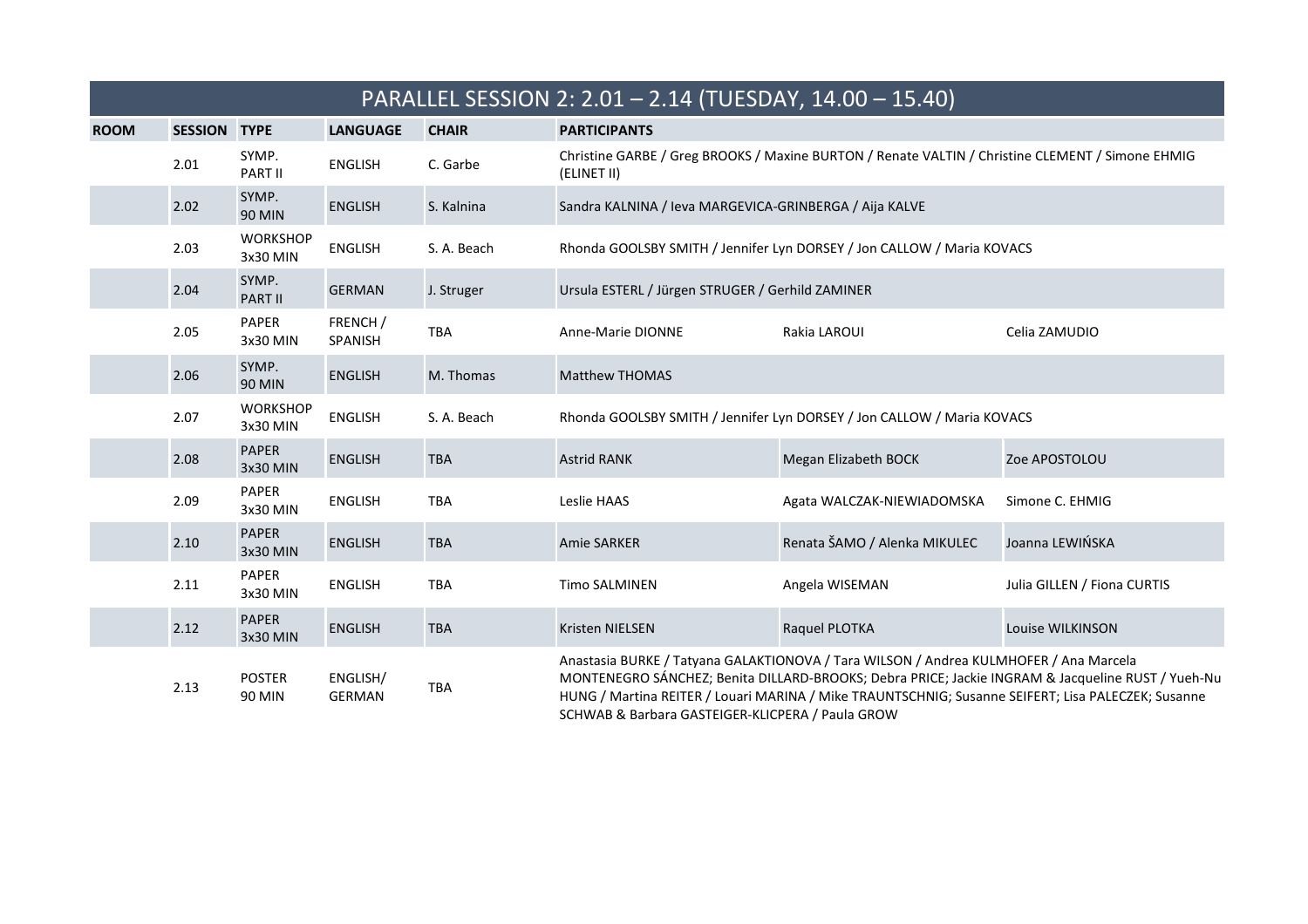|             | PARALLEL SESSION 2: 2.01 - 2.14 (TUESDAY, 14.00 - 15.40) |                             |                            |              |                                                                                                                 |                                                                                                                                                                                             |                                                                                                   |  |  |
|-------------|----------------------------------------------------------|-----------------------------|----------------------------|--------------|-----------------------------------------------------------------------------------------------------------------|---------------------------------------------------------------------------------------------------------------------------------------------------------------------------------------------|---------------------------------------------------------------------------------------------------|--|--|
| <b>ROOM</b> | <b>SESSION</b>                                           | <b>TYPE</b>                 | <b>LANGUAGE</b>            | <b>CHAIR</b> | <b>PARTICIPANTS</b>                                                                                             |                                                                                                                                                                                             |                                                                                                   |  |  |
|             | 2.01                                                     | SYMP.<br><b>PART II</b>     | <b>ENGLISH</b>             | C. Garbe     | Christine GARBE / Greg BROOKS / Maxine BURTON / Renate VALTIN / Christine CLEMENT / Simone EHMIG<br>(ELINET II) |                                                                                                                                                                                             |                                                                                                   |  |  |
|             | 2.02                                                     | SYMP.<br>90 MIN             | <b>ENGLISH</b>             | S. Kalnina   |                                                                                                                 | Sandra KALNINA / Ieva MARGEVICA-GRINBERGA / Aija KALVE                                                                                                                                      |                                                                                                   |  |  |
|             | 2.03                                                     | <b>WORKSHOP</b><br>3x30 MIN | <b>ENGLISH</b>             | S. A. Beach  | Rhonda GOOLSBY SMITH / Jennifer Lyn DORSEY / Jon CALLOW / Maria KOVACS                                          |                                                                                                                                                                                             |                                                                                                   |  |  |
|             | 2.04                                                     | SYMP.<br><b>PART II</b>     | <b>GERMAN</b>              | J. Struger   | Ursula ESTERL / Jürgen STRUGER / Gerhild ZAMINER                                                                |                                                                                                                                                                                             |                                                                                                   |  |  |
|             | 2.05                                                     | PAPER<br>3x30 MIN           | FRENCH /<br><b>SPANISH</b> | <b>TBA</b>   | Anne-Marie DIONNE                                                                                               | Rakia LAROUI                                                                                                                                                                                | Celia ZAMUDIO                                                                                     |  |  |
|             | 2.06                                                     | SYMP.<br><b>90 MIN</b>      | <b>ENGLISH</b>             | M. Thomas    | <b>Matthew THOMAS</b>                                                                                           |                                                                                                                                                                                             |                                                                                                   |  |  |
|             | 2.07                                                     | <b>WORKSHOP</b><br>3x30 MIN | <b>ENGLISH</b>             | S. A. Beach  |                                                                                                                 | Rhonda GOOLSBY SMITH / Jennifer Lyn DORSEY / Jon CALLOW / Maria KOVACS                                                                                                                      |                                                                                                   |  |  |
|             | 2.08                                                     | <b>PAPER</b><br>3x30 MIN    | <b>ENGLISH</b>             | <b>TBA</b>   | <b>Astrid RANK</b>                                                                                              | Megan Elizabeth BOCK                                                                                                                                                                        | Zoe APOSTOLOU                                                                                     |  |  |
|             | 2.09                                                     | PAPER<br>3x30 MIN           | <b>ENGLISH</b>             | <b>TBA</b>   | Leslie HAAS                                                                                                     | Agata WALCZAK-NIEWIADOMSKA                                                                                                                                                                  | Simone C. EHMIG                                                                                   |  |  |
|             | 2.10                                                     | <b>PAPER</b><br>3x30 MIN    | <b>ENGLISH</b>             | <b>TBA</b>   | <b>Amie SARKER</b>                                                                                              | Renata ŠAMO / Alenka MIKULEC                                                                                                                                                                | Joanna LEWIŃSKA                                                                                   |  |  |
|             | 2.11                                                     | <b>PAPER</b><br>3x30 MIN    | <b>ENGLISH</b>             | <b>TBA</b>   | <b>Timo SALMINEN</b>                                                                                            | Angela WISEMAN                                                                                                                                                                              | Julia GILLEN / Fiona CURTIS                                                                       |  |  |
|             | 2.12                                                     | <b>PAPER</b><br>3x30 MIN    | <b>ENGLISH</b>             | <b>TBA</b>   | <b>Kristen NIELSEN</b>                                                                                          | Raquel PLOTKA                                                                                                                                                                               | Louise WILKINSON                                                                                  |  |  |
|             | 2.13                                                     | <b>POSTER</b><br>90 MIN     | ENGLISH/<br><b>GERMAN</b>  | <b>TBA</b>   | SCHWAB & Barbara GASTEIGER-KLICPERA / Paula GROW                                                                | Anastasia BURKE / Tatyana GALAKTIONOVA / Tara WILSON / Andrea KULMHOFER / Ana Marcela<br>HUNG / Martina REITER / Louari MARINA / Mike TRAUNTSCHNIG; Susanne SEIFERT; Lisa PALECZEK; Susanne | MONTENEGRO SÁNCHEZ; Benita DILLARD-BROOKS; Debra PRICE; Jackie INGRAM & Jacqueline RUST / Yueh-Nu |  |  |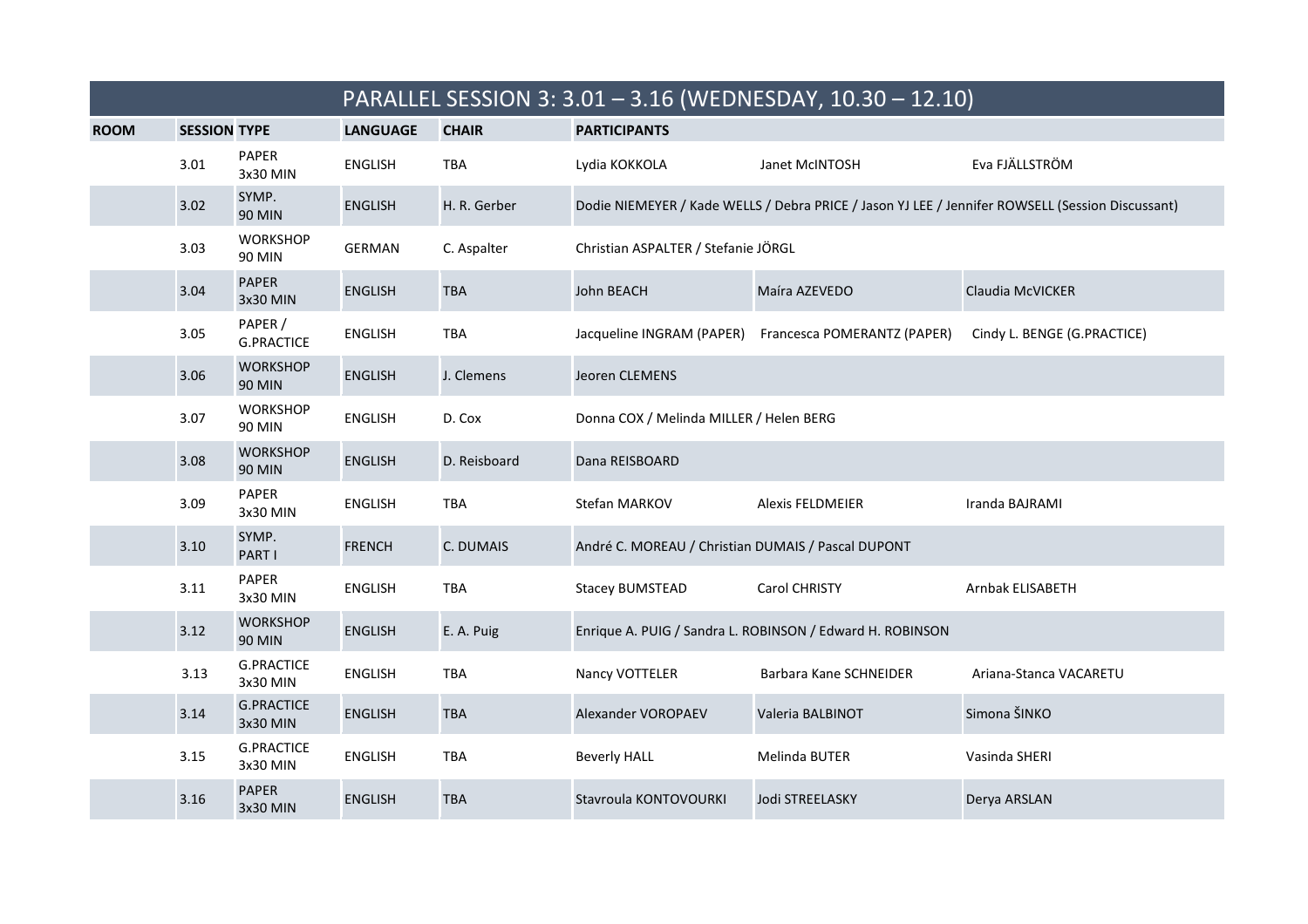|             |                     |                               |                 |              |                                                    | PARALLEL SESSION 3: 3.01 - 3.16 (WEDNESDAY, 10.30 - 12.10) |                                                                                                  |
|-------------|---------------------|-------------------------------|-----------------|--------------|----------------------------------------------------|------------------------------------------------------------|--------------------------------------------------------------------------------------------------|
| <b>ROOM</b> | <b>SESSION TYPE</b> |                               | <b>LANGUAGE</b> | <b>CHAIR</b> | <b>PARTICIPANTS</b>                                |                                                            |                                                                                                  |
|             | 3.01                | PAPER<br>3x30 MIN             | <b>ENGLISH</b>  | <b>TBA</b>   | Lydia KOKKOLA                                      | Janet McINTOSH                                             | Eva FJÄLLSTRÖM                                                                                   |
|             | 3.02                | SYMP.<br><b>90 MIN</b>        | <b>ENGLISH</b>  | H. R. Gerber |                                                    |                                                            | Dodie NIEMEYER / Kade WELLS / Debra PRICE / Jason YJ LEE / Jennifer ROWSELL (Session Discussant) |
|             | 3.03                | <b>WORKSHOP</b><br>90 MIN     | GERMAN          | C. Aspalter  | Christian ASPALTER / Stefanie JÖRGL                |                                                            |                                                                                                  |
|             | 3.04                | <b>PAPER</b><br>3x30 MIN      | <b>ENGLISH</b>  | <b>TBA</b>   | John BEACH                                         | Maíra AZEVEDO                                              | Claudia McVICKER                                                                                 |
|             | 3.05                | PAPER /<br><b>G.PRACTICE</b>  | <b>ENGLISH</b>  | <b>TBA</b>   |                                                    | Jacqueline INGRAM (PAPER) Francesca POMERANTZ (PAPER)      | Cindy L. BENGE (G.PRACTICE)                                                                      |
|             | 3.06                | <b>WORKSHOP</b><br>90 MIN     | <b>ENGLISH</b>  | J. Clemens   | Jeoren CLEMENS                                     |                                                            |                                                                                                  |
|             | 3.07                | <b>WORKSHOP</b><br>90 MIN     | <b>ENGLISH</b>  | D. Cox       | Donna COX / Melinda MILLER / Helen BERG            |                                                            |                                                                                                  |
|             | 3.08                | <b>WORKSHOP</b><br>90 MIN     | <b>ENGLISH</b>  | D. Reisboard | Dana REISBOARD                                     |                                                            |                                                                                                  |
|             | 3.09                | PAPER<br>3x30 MIN             | <b>ENGLISH</b>  | <b>TBA</b>   | Stefan MARKOV                                      | <b>Alexis FELDMEIER</b>                                    | Iranda BAJRAMI                                                                                   |
|             | 3.10                | SYMP.<br>PART I               | <b>FRENCH</b>   | C. DUMAIS    | André C. MOREAU / Christian DUMAIS / Pascal DUPONT |                                                            |                                                                                                  |
|             | 3.11                | PAPER<br>3x30 MIN             | <b>ENGLISH</b>  | <b>TBA</b>   | <b>Stacey BUMSTEAD</b>                             | Carol CHRISTY                                              | Arnbak ELISABETH                                                                                 |
|             | 3.12                | <b>WORKSHOP</b><br>90 MIN     | <b>ENGLISH</b>  | E. A. Puig   |                                                    | Enrique A. PUIG / Sandra L. ROBINSON / Edward H. ROBINSON  |                                                                                                  |
|             | 3.13                | <b>G.PRACTICE</b><br>3x30 MIN | <b>ENGLISH</b>  | <b>TBA</b>   | Nancy VOTTELER                                     | Barbara Kane SCHNEIDER                                     | Ariana-Stanca VACARETU                                                                           |
|             | 3.14                | <b>G.PRACTICE</b><br>3x30 MIN | <b>ENGLISH</b>  | <b>TBA</b>   | Alexander VOROPAEV                                 | Valeria BALBINOT                                           | Simona ŠINKO                                                                                     |
|             | 3.15                | <b>G.PRACTICE</b><br>3x30 MIN | <b>ENGLISH</b>  | TBA          | <b>Beverly HALL</b>                                | Melinda BUTER                                              | Vasinda SHERI                                                                                    |
|             | 3.16                | <b>PAPER</b><br>3x30 MIN      | <b>ENGLISH</b>  | <b>TBA</b>   | Stavroula KONTOVOURKI                              | Jodi STREELASKY                                            | Derya ARSLAN                                                                                     |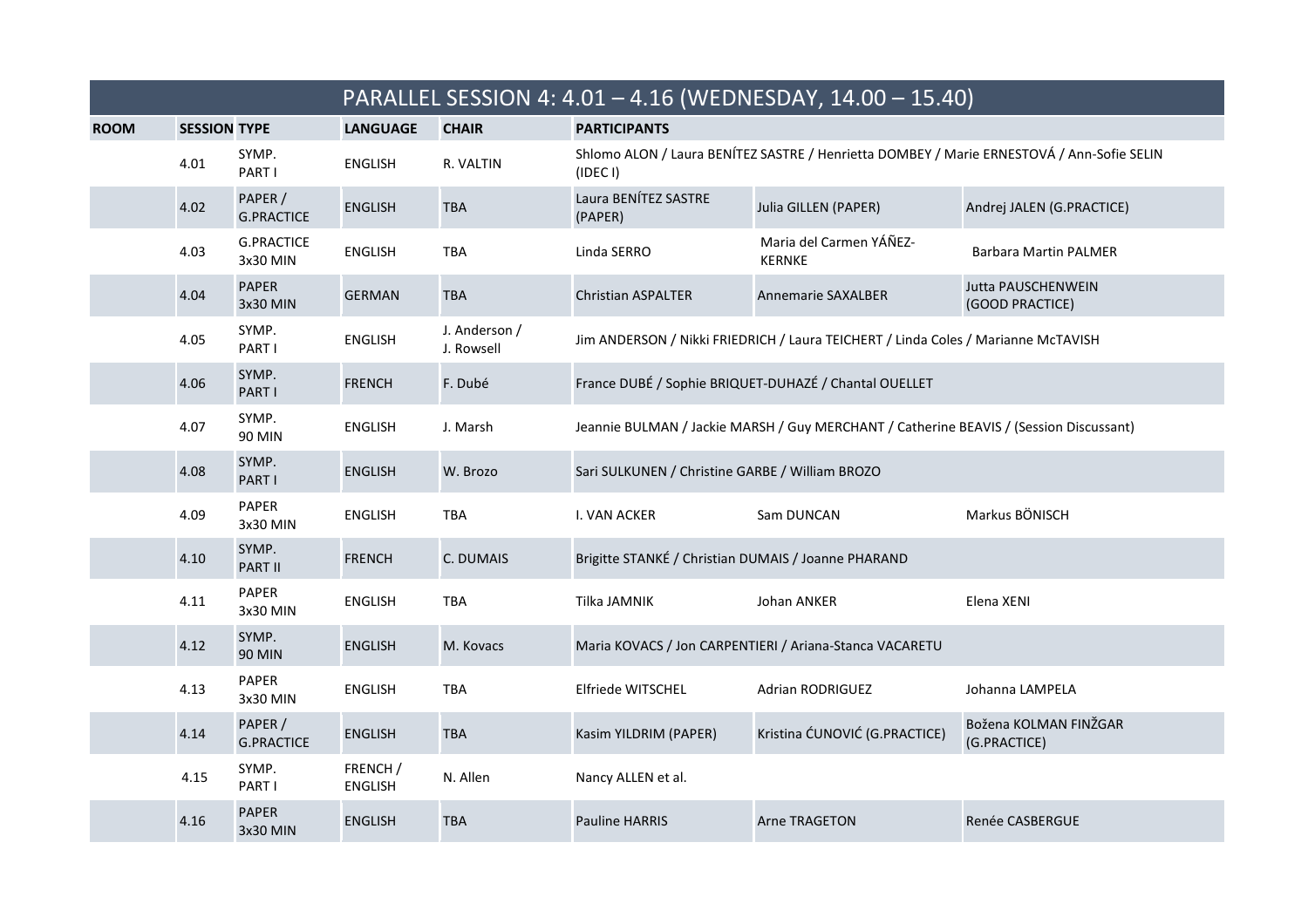|             |                     |                               |                            |                             |                                                     | PARALLEL SESSION 4: 4.01 - 4.16 (WEDNESDAY, 14.00 - 15.40)                                |                                              |
|-------------|---------------------|-------------------------------|----------------------------|-----------------------------|-----------------------------------------------------|-------------------------------------------------------------------------------------------|----------------------------------------------|
| <b>ROOM</b> | <b>SESSION TYPE</b> |                               | <b>LANGUAGE</b>            | <b>CHAIR</b>                | <b>PARTICIPANTS</b>                                 |                                                                                           |                                              |
|             | 4.01                | SYMP.<br>PART I               | <b>ENGLISH</b>             | R. VALTIN                   | (IDEC I)                                            | Shlomo ALON / Laura BENÍTEZ SASTRE / Henrietta DOMBEY / Marie ERNESTOVÁ / Ann-Sofie SELIN |                                              |
|             | 4.02                | PAPER /<br><b>G.PRACTICE</b>  | <b>ENGLISH</b>             | TBA                         | Laura BENÍTEZ SASTRE<br>(PAPER)                     | Julia GILLEN (PAPER)                                                                      | Andrej JALEN (G.PRACTICE)                    |
|             | 4.03                | <b>G.PRACTICE</b><br>3x30 MIN | <b>ENGLISH</b>             | <b>TBA</b>                  | Linda SERRO                                         | Maria del Carmen YÁÑEZ-<br><b>KERNKE</b>                                                  | <b>Barbara Martin PALMER</b>                 |
|             | 4.04                | <b>PAPER</b><br>3x30 MIN      | <b>GERMAN</b>              | <b>TBA</b>                  | <b>Christian ASPALTER</b>                           | <b>Annemarie SAXALBER</b>                                                                 | <b>Jutta PAUSCHENWEIN</b><br>(GOOD PRACTICE) |
|             | 4.05                | SYMP.<br>PART I               | <b>ENGLISH</b>             | J. Anderson /<br>J. Rowsell |                                                     | Jim ANDERSON / Nikki FRIEDRICH / Laura TEICHERT / Linda Coles / Marianne McTAVISH         |                                              |
|             | 4.06                | SYMP.<br>PART I               | <b>FRENCH</b>              | F. Dubé                     |                                                     | France DUBÉ / Sophie BRIQUET-DUHAZÉ / Chantal OUELLET                                     |                                              |
|             | 4.07                | SYMP.<br><b>90 MIN</b>        | <b>ENGLISH</b>             | J. Marsh                    |                                                     | Jeannie BULMAN / Jackie MARSH / Guy MERCHANT / Catherine BEAVIS / (Session Discussant)    |                                              |
|             | 4.08                | SYMP.<br>PART I               | <b>ENGLISH</b>             | W. Brozo                    | Sari SULKUNEN / Christine GARBE / William BROZO     |                                                                                           |                                              |
|             | 4.09                | PAPER<br>3x30 MIN             | <b>ENGLISH</b>             | TBA                         | I. VAN ACKER                                        | Sam DUNCAN                                                                                | Markus BÖNISCH                               |
|             | 4.10                | SYMP.<br><b>PART II</b>       | <b>FRENCH</b>              | C. DUMAIS                   | Brigitte STANKÉ / Christian DUMAIS / Joanne PHARAND |                                                                                           |                                              |
|             | 4.11                | PAPER<br>3x30 MIN             | <b>ENGLISH</b>             | <b>TBA</b>                  | Tilka JAMNIK                                        | Johan ANKER                                                                               | Elena XENI                                   |
|             | 4.12                | SYMP.<br><b>90 MIN</b>        | <b>ENGLISH</b>             | M. Kovacs                   |                                                     | Maria KOVACS / Jon CARPENTIERI / Ariana-Stanca VACARETU                                   |                                              |
|             | 4.13                | PAPER<br>3x30 MIN             | <b>ENGLISH</b>             | <b>TBA</b>                  | Elfriede WITSCHEL                                   | Adrian RODRIGUEZ                                                                          | Johanna LAMPELA                              |
|             | 4.14                | PAPER /<br><b>G.PRACTICE</b>  | <b>ENGLISH</b>             | <b>TBA</b>                  | Kasim YILDRIM (PAPER)                               | Kristina ĆUNOVIĆ (G.PRACTICE)                                                             | Božena KOLMAN FINŽGAR<br>(G.PRACTICE)        |
|             | 4.15                | SYMP.<br>PART I               | FRENCH /<br><b>ENGLISH</b> | N. Allen                    | Nancy ALLEN et al.                                  |                                                                                           |                                              |
|             | 4.16                | <b>PAPER</b><br>3x30 MIN      | <b>ENGLISH</b>             | <b>TBA</b>                  | <b>Pauline HARRIS</b>                               | <b>Arne TRAGETON</b>                                                                      | Renée CASBERGUE                              |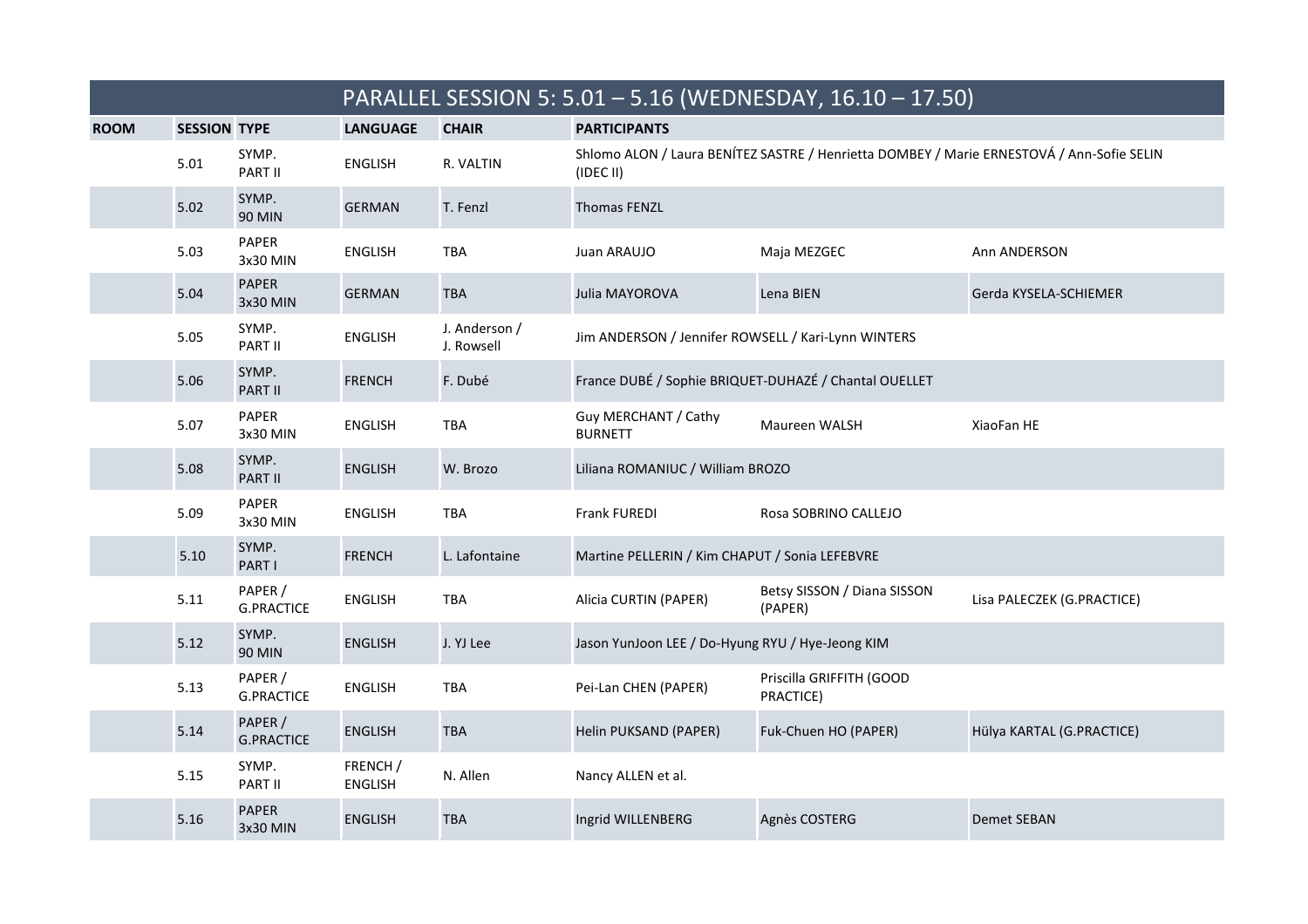|             |                     |                              | PARALLEL SESSION 5: 5.01 - 5.16 (WEDNESDAY, 16.10 - 17.50) |                             |                                                     |                                                                                           |                            |  |
|-------------|---------------------|------------------------------|------------------------------------------------------------|-----------------------------|-----------------------------------------------------|-------------------------------------------------------------------------------------------|----------------------------|--|
| <b>ROOM</b> | <b>SESSION TYPE</b> |                              | <b>LANGUAGE</b>                                            | <b>CHAIR</b>                | <b>PARTICIPANTS</b>                                 |                                                                                           |                            |  |
|             | 5.01                | SYMP.<br>PART II             | <b>ENGLISH</b>                                             | R. VALTIN                   | (IDEC II)                                           | Shlomo ALON / Laura BENÍTEZ SASTRE / Henrietta DOMBEY / Marie ERNESTOVÁ / Ann-Sofie SELIN |                            |  |
|             | 5.02                | SYMP.<br><b>90 MIN</b>       | <b>GERMAN</b>                                              | T. Fenzl                    | <b>Thomas FENZL</b>                                 |                                                                                           |                            |  |
|             | 5.03                | PAPER<br>3x30 MIN            | <b>ENGLISH</b>                                             | <b>TBA</b>                  | Juan ARAUJO                                         | Maja MEZGEC                                                                               | Ann ANDERSON               |  |
|             | 5.04                | <b>PAPER</b><br>3x30 MIN     | <b>GERMAN</b>                                              | <b>TBA</b>                  | Julia MAYOROVA                                      | Lena BIEN                                                                                 | Gerda KYSELA-SCHIEMER      |  |
|             | 5.05                | SYMP.<br>PART II             | <b>ENGLISH</b>                                             | J. Anderson /<br>J. Rowsell | Jim ANDERSON / Jennifer ROWSELL / Kari-Lynn WINTERS |                                                                                           |                            |  |
|             | 5.06                | SYMP.<br><b>PART II</b>      | <b>FRENCH</b>                                              | F. Dubé                     |                                                     | France DUBÉ / Sophie BRIQUET-DUHAZÉ / Chantal OUELLET                                     |                            |  |
|             | 5.07                | <b>PAPER</b><br>3x30 MIN     | <b>ENGLISH</b>                                             | TBA                         | Guy MERCHANT / Cathy<br><b>BURNETT</b>              | Maureen WALSH                                                                             | XiaoFan HE                 |  |
|             | 5.08                | SYMP.<br><b>PART II</b>      | <b>ENGLISH</b>                                             | W. Brozo                    | Liliana ROMANIUC / William BROZO                    |                                                                                           |                            |  |
|             | 5.09                | <b>PAPER</b><br>3x30 MIN     | <b>ENGLISH</b>                                             | TBA                         | Frank FUREDI                                        | Rosa SOBRINO CALLEJO                                                                      |                            |  |
|             | 5.10                | SYMP.<br>PART I              | <b>FRENCH</b>                                              | L. Lafontaine               | Martine PELLERIN / Kim CHAPUT / Sonia LEFEBVRE      |                                                                                           |                            |  |
|             | 5.11                | PAPER /<br><b>G.PRACTICE</b> | <b>ENGLISH</b>                                             | TBA                         | Alicia CURTIN (PAPER)                               | Betsy SISSON / Diana SISSON<br>(PAPER)                                                    | Lisa PALECZEK (G.PRACTICE) |  |
|             | 5.12                | SYMP.<br><b>90 MIN</b>       | <b>ENGLISH</b>                                             | J. YJ Lee                   | Jason YunJoon LEE / Do-Hyung RYU / Hye-Jeong KIM    |                                                                                           |                            |  |
|             | 5.13                | PAPER /<br><b>G.PRACTICE</b> | <b>ENGLISH</b>                                             | TBA                         | Pei-Lan CHEN (PAPER)                                | Priscilla GRIFFITH (GOOD<br>PRACTICE)                                                     |                            |  |
|             | 5.14                | PAPER /<br><b>G.PRACTICE</b> | <b>ENGLISH</b>                                             | <b>TBA</b>                  | Helin PUKSAND (PAPER)                               | Fuk-Chuen HO (PAPER)                                                                      | Hülya KARTAL (G.PRACTICE)  |  |
|             | 5.15                | SYMP.<br>PART II             | FRENCH /<br><b>ENGLISH</b>                                 | N. Allen                    | Nancy ALLEN et al.                                  |                                                                                           |                            |  |
|             | 5.16                | <b>PAPER</b><br>3x30 MIN     | <b>ENGLISH</b>                                             | <b>TBA</b>                  | Ingrid WILLENBERG                                   | Agnès COSTERG                                                                             | <b>Demet SEBAN</b>         |  |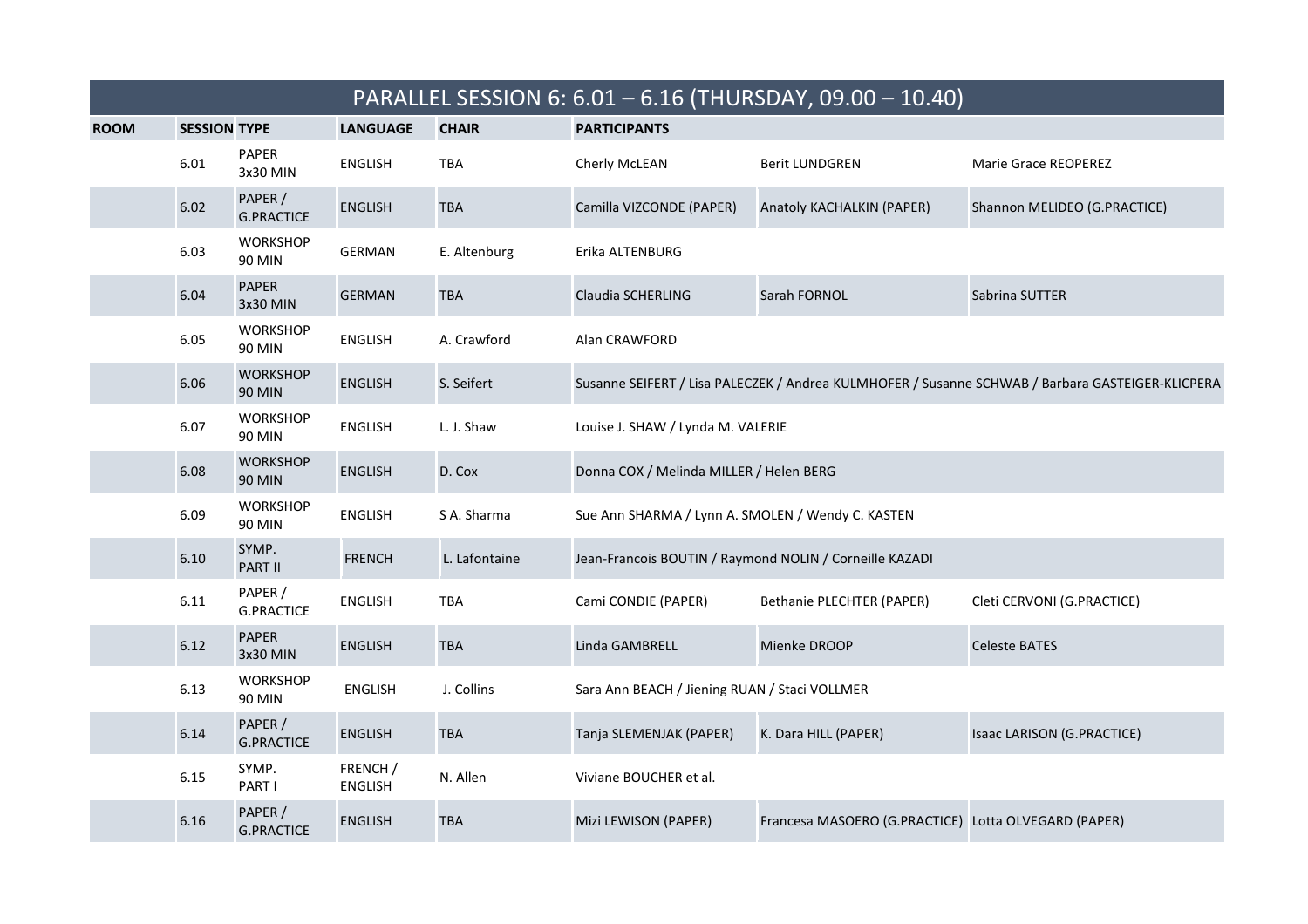|             |                     |                                  |                            |               |                                                         | PARALLEL SESSION 6: 6.01 - 6.16 (THURSDAY, 09.00 - 10.40) |                                                                                                  |
|-------------|---------------------|----------------------------------|----------------------------|---------------|---------------------------------------------------------|-----------------------------------------------------------|--------------------------------------------------------------------------------------------------|
| <b>ROOM</b> | <b>SESSION TYPE</b> |                                  | <b>LANGUAGE</b>            | <b>CHAIR</b>  | <b>PARTICIPANTS</b>                                     |                                                           |                                                                                                  |
|             | 6.01                | PAPER<br>3x30 MIN                | <b>ENGLISH</b>             | <b>TBA</b>    | Cherly McLEAN                                           | <b>Berit LUNDGREN</b>                                     | Marie Grace REOPEREZ                                                                             |
|             | 6.02                | PAPER /<br><b>G.PRACTICE</b>     | <b>ENGLISH</b>             | <b>TBA</b>    | Camilla VIZCONDE (PAPER)                                | Anatoly KACHALKIN (PAPER)                                 | Shannon MELIDEO (G.PRACTICE)                                                                     |
|             | 6.03                | <b>WORKSHOP</b><br>90 MIN        | <b>GERMAN</b>              | E. Altenburg  | Erika ALTENBURG                                         |                                                           |                                                                                                  |
|             | 6.04                | <b>PAPER</b><br>3x30 MIN         | <b>GERMAN</b>              | <b>TBA</b>    | Claudia SCHERLING                                       | Sarah FORNOL                                              | Sabrina SUTTER                                                                                   |
|             | 6.05                | <b>WORKSHOP</b><br><b>90 MIN</b> | <b>ENGLISH</b>             | A. Crawford   | Alan CRAWFORD                                           |                                                           |                                                                                                  |
|             | 6.06                | <b>WORKSHOP</b><br><b>90 MIN</b> | <b>ENGLISH</b>             | S. Seifert    |                                                         |                                                           | Susanne SEIFERT / Lisa PALECZEK / Andrea KULMHOFER / Susanne SCHWAB / Barbara GASTEIGER-KLICPERA |
|             | 6.07                | <b>WORKSHOP</b><br>90 MIN        | <b>ENGLISH</b>             | L. J. Shaw    | Louise J. SHAW / Lynda M. VALERIE                       |                                                           |                                                                                                  |
|             | 6.08                | <b>WORKSHOP</b><br><b>90 MIN</b> | <b>ENGLISH</b>             | D. Cox        | Donna COX / Melinda MILLER / Helen BERG                 |                                                           |                                                                                                  |
|             | 6.09                | <b>WORKSHOP</b><br>90 MIN        | <b>ENGLISH</b>             | S A. Sharma   | Sue Ann SHARMA / Lynn A. SMOLEN / Wendy C. KASTEN       |                                                           |                                                                                                  |
|             | 6.10                | SYMP.<br><b>PART II</b>          | <b>FRENCH</b>              | L. Lafontaine | Jean-Francois BOUTIN / Raymond NOLIN / Corneille KAZADI |                                                           |                                                                                                  |
|             | 6.11                | PAPER /<br><b>G.PRACTICE</b>     | <b>ENGLISH</b>             | <b>TBA</b>    | Cami CONDIE (PAPER)                                     | Bethanie PLECHTER (PAPER)                                 | Cleti CERVONI (G.PRACTICE)                                                                       |
|             | 6.12                | <b>PAPER</b><br>3x30 MIN         | <b>ENGLISH</b>             | <b>TBA</b>    | Linda GAMBRELL                                          | Mienke DROOP                                              | <b>Celeste BATES</b>                                                                             |
|             | 6.13                | <b>WORKSHOP</b><br>90 MIN        | <b>ENGLISH</b>             | J. Collins    | Sara Ann BEACH / Jiening RUAN / Staci VOLLMER           |                                                           |                                                                                                  |
|             | 6.14                | PAPER /<br><b>G.PRACTICE</b>     | <b>ENGLISH</b>             | <b>TBA</b>    | Tanja SLEMENJAK (PAPER)                                 | K. Dara HILL (PAPER)                                      | Isaac LARISON (G.PRACTICE)                                                                       |
|             | 6.15                | SYMP.<br>PART I                  | FRENCH /<br><b>ENGLISH</b> | N. Allen      | Viviane BOUCHER et al.                                  |                                                           |                                                                                                  |
|             | 6.16                | PAPER /<br><b>G.PRACTICE</b>     | <b>ENGLISH</b>             | <b>TBA</b>    | Mizi LEWISON (PAPER)                                    | Francesa MASOERO (G.PRACTICE) Lotta OLVEGARD (PAPER)      |                                                                                                  |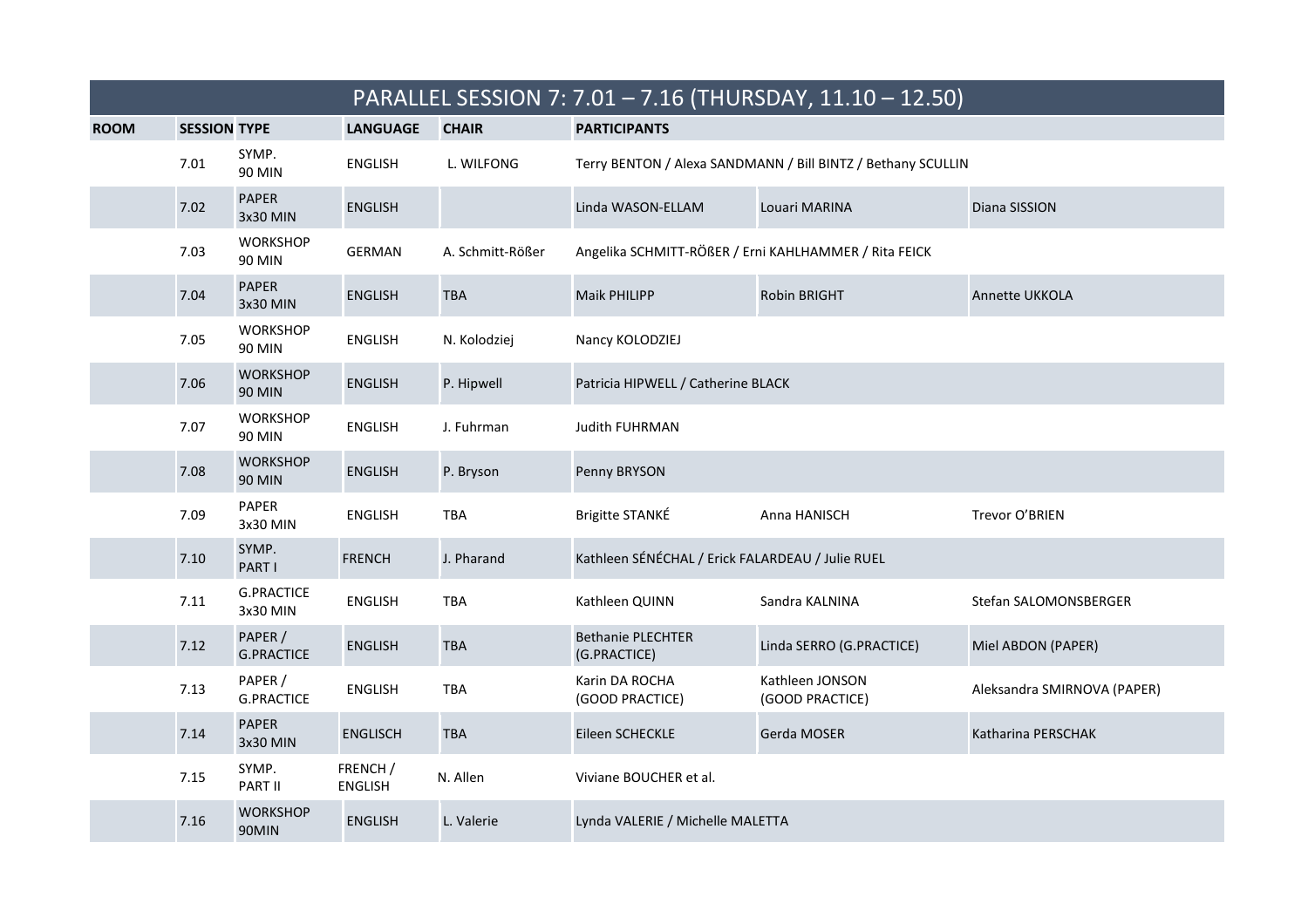|             | PARALLEL SESSION 7: 7.01 - 7.16 (THURSDAY, 11.10 - 12.50) |                                  |                            |                  |                                                       |                                                              |                             |  |
|-------------|-----------------------------------------------------------|----------------------------------|----------------------------|------------------|-------------------------------------------------------|--------------------------------------------------------------|-----------------------------|--|
| <b>ROOM</b> | <b>SESSION TYPE</b>                                       |                                  | <b>LANGUAGE</b>            | <b>CHAIR</b>     | <b>PARTICIPANTS</b>                                   |                                                              |                             |  |
|             | 7.01                                                      | SYMP.<br>90 MIN                  | <b>ENGLISH</b>             | L. WILFONG       |                                                       | Terry BENTON / Alexa SANDMANN / Bill BINTZ / Bethany SCULLIN |                             |  |
|             | 7.02                                                      | <b>PAPER</b><br>3x30 MIN         | <b>ENGLISH</b>             |                  | Linda WASON-ELLAM                                     | Louari MARINA                                                | Diana SISSION               |  |
|             | 7.03                                                      | <b>WORKSHOP</b><br><b>90 MIN</b> | GERMAN                     | A. Schmitt-Rößer | Angelika SCHMITT-RÖßER / Erni KAHLHAMMER / Rita FEICK |                                                              |                             |  |
|             | 7.04                                                      | <b>PAPER</b><br>3x30 MIN         | <b>ENGLISH</b>             | <b>TBA</b>       | <b>Maik PHILIPP</b>                                   | <b>Robin BRIGHT</b>                                          | <b>Annette UKKOLA</b>       |  |
|             | 7.05                                                      | <b>WORKSHOP</b><br>90 MIN        | <b>ENGLISH</b>             | N. Kolodziej     | Nancy KOLODZIEJ                                       |                                                              |                             |  |
|             | 7.06                                                      | <b>WORKSHOP</b><br><b>90 MIN</b> | <b>ENGLISH</b>             | P. Hipwell       | Patricia HIPWELL / Catherine BLACK                    |                                                              |                             |  |
|             | 7.07                                                      | <b>WORKSHOP</b><br><b>90 MIN</b> | <b>ENGLISH</b>             | J. Fuhrman       | <b>Judith FUHRMAN</b>                                 |                                                              |                             |  |
|             | 7.08                                                      | <b>WORKSHOP</b><br><b>90 MIN</b> | <b>ENGLISH</b>             | P. Bryson        | Penny BRYSON                                          |                                                              |                             |  |
|             | 7.09                                                      | PAPER<br>3x30 MIN                | <b>ENGLISH</b>             | <b>TBA</b>       | Brigitte STANKÉ                                       | Anna HANISCH                                                 | Trevor O'BRIEN              |  |
|             | 7.10                                                      | SYMP.<br>PART I                  | <b>FRENCH</b>              | J. Pharand       | Kathleen SÉNÉCHAL / Erick FALARDEAU / Julie RUEL      |                                                              |                             |  |
|             | 7.11                                                      | <b>G.PRACTICE</b><br>3x30 MIN    | <b>ENGLISH</b>             | <b>TBA</b>       | Kathleen QUINN                                        | Sandra KALNINA                                               | Stefan SALOMONSBERGER       |  |
|             | 7.12                                                      | PAPER /<br><b>G.PRACTICE</b>     | <b>ENGLISH</b>             | <b>TBA</b>       | <b>Bethanie PLECHTER</b><br>(G.PRACTICE)              | Linda SERRO (G.PRACTICE)                                     | Miel ABDON (PAPER)          |  |
|             | 7.13                                                      | PAPER /<br><b>G.PRACTICE</b>     | <b>ENGLISH</b>             | TBA              | Karin DA ROCHA<br>(GOOD PRACTICE)                     | Kathleen JONSON<br>(GOOD PRACTICE)                           | Aleksandra SMIRNOVA (PAPER) |  |
|             | 7.14                                                      | <b>PAPER</b><br>3x30 MIN         | <b>ENGLISCH</b>            | <b>TBA</b>       | Eileen SCHECKLE                                       | Gerda MOSER                                                  | Katharina PERSCHAK          |  |
|             | 7.15                                                      | SYMP.<br>PART II                 | FRENCH /<br><b>ENGLISH</b> | N. Allen         | Viviane BOUCHER et al.                                |                                                              |                             |  |
|             | 7.16                                                      | <b>WORKSHOP</b><br>90MIN         | <b>ENGLISH</b>             | L. Valerie       | Lynda VALERIE / Michelle MALETTA                      |                                                              |                             |  |